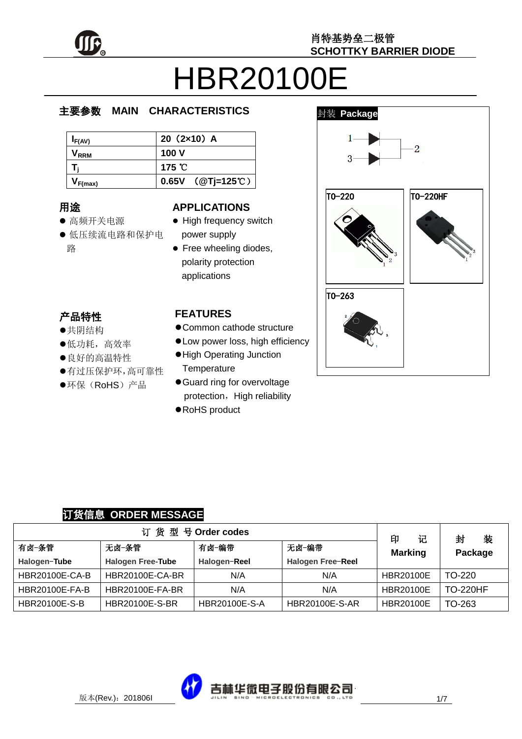

# HBR20100E

#### e  $\overline{\phantom{a}}$ 主要参数 **MAIN CHARACTERISTICS**

| $I_{F(AV)}$      | $20(2x10)$ A     |
|------------------|------------------|
| V <sub>rrm</sub> | 100 V            |
|                  | 175 $\degree$ C  |
| $V_{F(max)}$     | 0.65V (@Tj=125℃) |

### 用途

- ……<br>● 高频开关电源
- יי<br>ל 低压续流电路和保护电 r. 路

#### **APPLICATIONS**

- High frequency switch power supply
- Free wheeling diodes, polarity protection applications

#### 产品特性

- , H-IVI工<br>●共阴结构
- 大切地市<br>●低功耗,高效率
- ●良好的高温特性
- 有过压保护环,高可靠性
- $\hat{\cdot}$  $\overline{a}$ ●环保(RoHS)产品

#### **FEATURES**

- Common cathode structure
- Low power loss, high efficiency
- High Operating Junction **Temperature**
- Guard ring for overvoltage protection, High reliability
- RoHS product



#### 订货信息 **ORDER MESSAGE**

|                       |                          | 订货型号Order codes |                          | 记<br>印           | 封<br>装          |
|-----------------------|--------------------------|-----------------|--------------------------|------------------|-----------------|
| 有卤-条管                 | 无卤-条管                    | 有卤-编带           | 无卤-编带                    | <b>Marking</b>   | Package         |
| Halogen-Tube          | <b>Halogen Free-Tube</b> | Halogen-Reel    | <b>Halogen Free-Reel</b> |                  |                 |
| <b>HBR20100E-CA-B</b> | <b>HBR20100E-CA-BR</b>   | N/A             | N/A                      | <b>HBR20100E</b> | $TO-220$        |
| <b>HBR20100E-FA-B</b> | <b>HBR20100E-FA-BR</b>   | N/A             | N/A                      | <b>HBR20100E</b> | <b>TO-220HF</b> |
| <b>HBR20100E-S-B</b>  | <b>HBR20100E-S-BR</b>    | HBR20100E-S-A   | <b>HBR20100E-S-AR</b>    | <b>HBR20100E</b> | TO-263          |

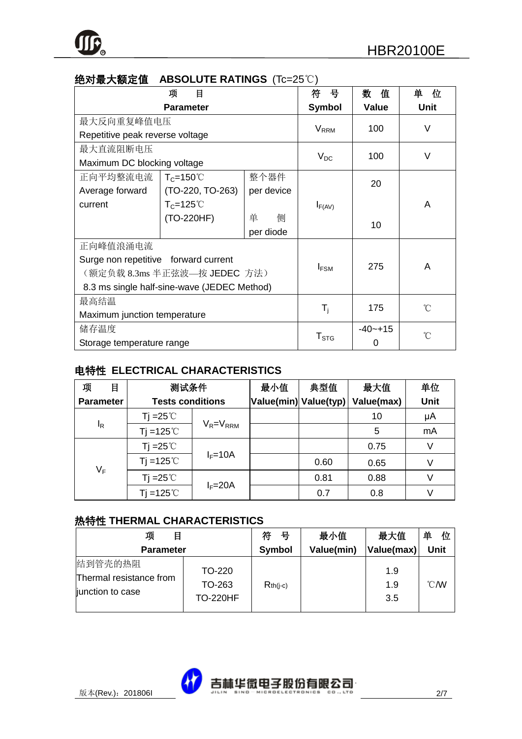| ~~~~~~~~~~                           |                                             |            |                           |              |                   |
|--------------------------------------|---------------------------------------------|------------|---------------------------|--------------|-------------------|
|                                      | 目<br>项                                      |            | 뮥<br>符                    | 数<br>值       | 单<br>位            |
|                                      | <b>Parameter</b>                            |            | Symbol                    | <b>Value</b> | Unit              |
| 最大反向重复峰值电压                           |                                             |            |                           | 100          | V                 |
| Repetitive peak reverse voltage      |                                             |            | <b>V</b> <sub>RRM</sub>   |              |                   |
| 最大直流阻断电压                             |                                             |            |                           | 100          | V                 |
| Maximum DC blocking voltage          |                                             |            | $V_{DC}$                  |              |                   |
| 正向平均整流电流                             | $T_c = 150^{\circ}$                         | 整个器件       |                           | 20           |                   |
| Average forward                      | (TO-220, TO-263)                            | per device |                           |              |                   |
| current                              | $T_c = 125^{\circ}$                         |            | $I_{F(AV)}$               |              | A                 |
|                                      | (TO-220HF)                                  | 侧<br>单     |                           | 10           |                   |
|                                      |                                             |            |                           |              |                   |
| 正向峰值浪涌电流                             |                                             |            |                           |              |                   |
| Surge non repetitive forward current |                                             |            |                           | 275          | A                 |
|                                      | (额定负载 8.3ms 半正弦波—按 JEDEC 方法)                |            | $I_{FSM}$                 |              |                   |
|                                      | 8.3 ms single half-sine-wave (JEDEC Method) |            |                           |              |                   |
| 最高结温                                 |                                             |            |                           |              | $^{\circ}$ C      |
| Maximum junction temperature         |                                             |            | $\mathsf{T}_{\mathsf{j}}$ | 175          |                   |
| 储存温度                                 |                                             |            |                           | $-40 - +15$  | $^{\circ}$ $\cap$ |
| Storage temperature range            |                                             |            | ${\sf T}_{\text{STG}}$    | 0            |                   |

#### 绝对最大额定值 **ABSOLUTE RATINGS** (Tc=25℃)

#### 电特性 **ELECTRICAL CHARACTERISTICS**

| 项<br>目           | 测试条件                    |                 | 最小值                   | 典型值  | 最大值        | 单位   |
|------------------|-------------------------|-----------------|-----------------------|------|------------|------|
| <b>Parameter</b> | <b>Tests conditions</b> |                 | Value(min) Value(typ) |      | Value(max) | Unit |
|                  | Tj =25 $\degree$ C      |                 |                       |      | 10         | μA   |
| $I_R$            | $Ti = 125^{\circ}$      | $V_R = V_{RRM}$ |                       |      | 5          | mA   |
|                  | Tj = $25^{\circ}$ C     |                 |                       |      | 0.75       | V    |
| $V_F$            | $Ti = 125^{\circ}$      | $I_F = 10A$     |                       | 0.60 | 0.65       | V    |
|                  | Tj = $25^{\circ}$ C     |                 |                       | 0.81 | 0.88       | V    |
|                  | Ti = $125^{\circ}$ C    | $I_F = 20A$     |                       | 0.7  | 0.8        | V    |

#### 热特性 **THERMAL CHARACTERISTICS**

| 项<br>目                                                 |                                     | 符<br>뮥     | 最小值        | 最大值               | 单<br>位           |
|--------------------------------------------------------|-------------------------------------|------------|------------|-------------------|------------------|
| <b>Parameter</b>                                       |                                     | Symbol     | Value(min) | Value(max)        | <b>Unit</b>      |
| 结到管壳的热阻<br>Thermal resistance from<br>junction to case | TO-220<br>TO-263<br><b>TO-220HF</b> | $Rth(i-c)$ |            | 1.9<br>1.9<br>3.5 | $\mathcal{C}$ MV |

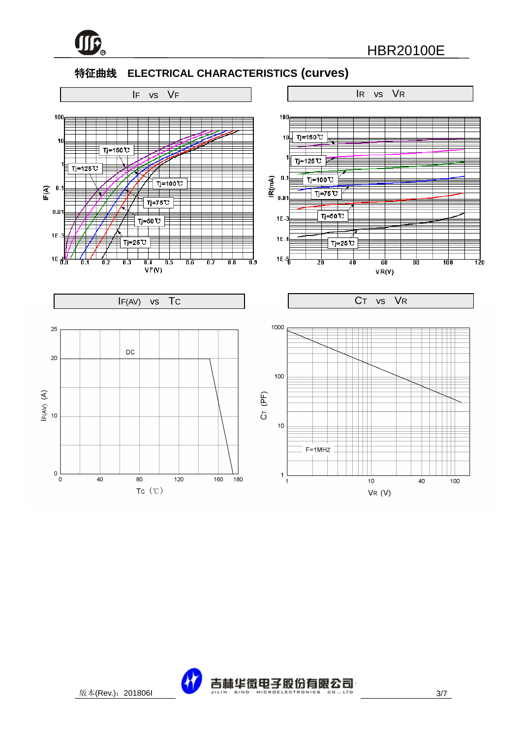

#### 特征曲线 **ELECTRICAL CHARACTERISTICS (curves)**



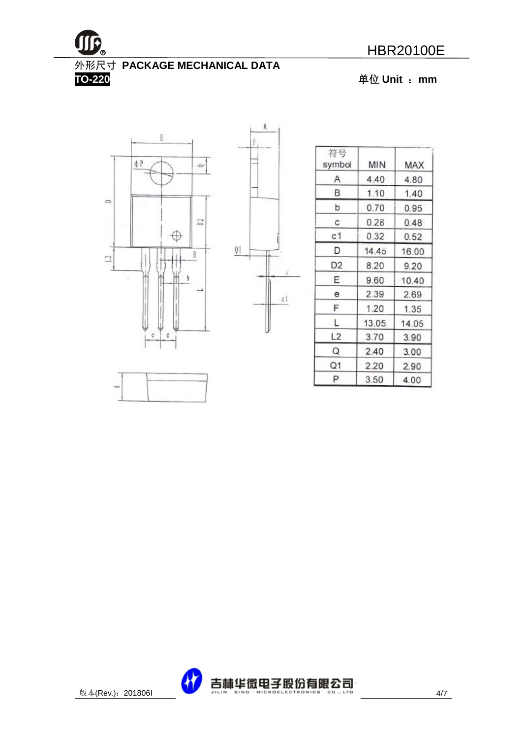

## 外形尺寸 **PACKAGE MECHANICAL DATA**

**TO-220** 单位 **Unit** :**mm**





| 符号<br>symbol   | MIN   | MAX   |
|----------------|-------|-------|
| Α              | 4.40  | 4.80  |
| в              | 1.10  | 1.40  |
| þ              | 0.70  | 0.95  |
| C.             | 0.28  | 0.48  |
| c1             | 0.32  | 0.52  |
| D              | 14.45 | 16.00 |
| D <sub>2</sub> | 8.20  | 9.20  |
| Ε              | 9.60  | 10.40 |
| е              | 2.39  | 2.69  |
| F              | 1.20  | 1.35  |
| L              | 13.05 | 14.05 |
| L2             | 3.70  | 3.90  |
| Q              | 2.40  | 3.00  |
| Q1             | 2.20  | 2.90  |
| P              | 3.50  | 4.00  |



 $\mathfrak{c}$ l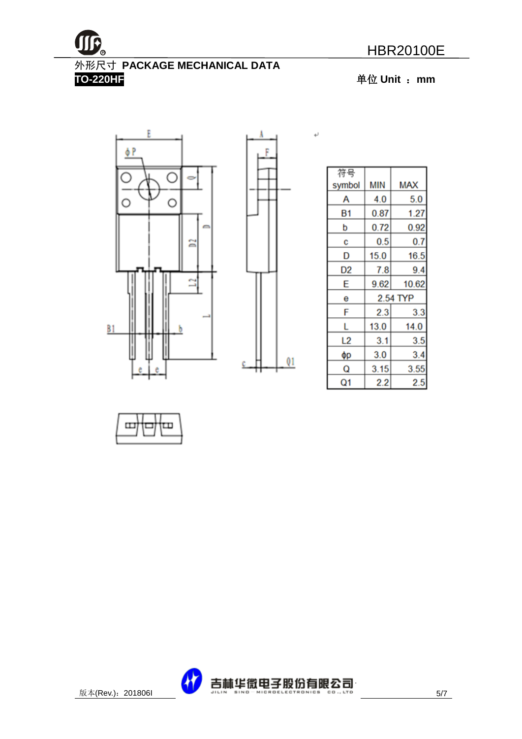

外形尺寸 **PACKAGE MECHANICAL DATA** 

**TO-220HF** 单位 **Unit** :**mm**





۱

 $\leftarrow$ 

| 符号     |      |          |
|--------|------|----------|
| symbol | MIN  | MAX      |
| А      | 4.0  | 5.0      |
| Β1     | 0.87 | 1.27     |
| p      | 0.72 | 0.92     |
| c      | 0.5  | 0.7      |
| D      | 15.0 | 16.5     |
| D2     | 7.8  | 9.4      |
| E      | 9.62 | 10.62    |
| е      |      | 2.54 TYP |
| F      | 2.3  | 3.3      |
| L      | 13.0 | 14.0     |
| L2     | 3.1  | 3.5      |
| φр     | 3.0  | 3.4      |
| Q      | 3.15 | 3.55     |
| Q1     | 2.2  | 2.5      |



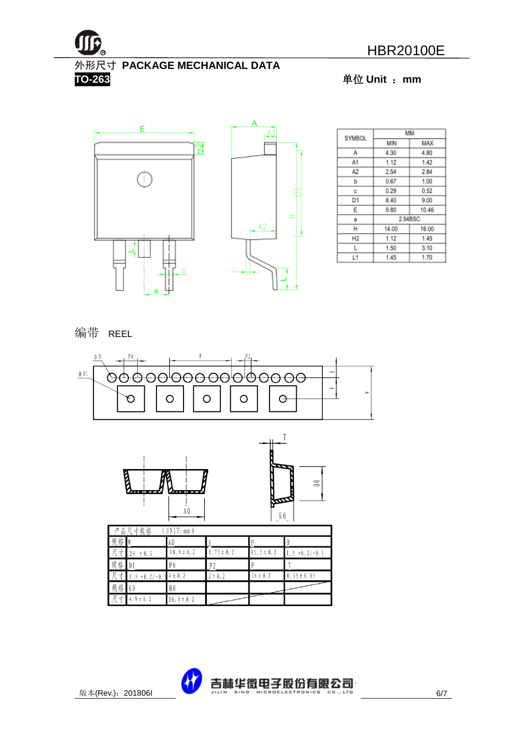

外形尺寸 **PACKAGE MECHANICAL DATA**

**TO-263** 单位 **Unit** :**mm**



| SYMBOL |         | MМ    |  |
|--------|---------|-------|--|
|        | MIN     | MAX   |  |
| Α      | 4.30    | 4.80  |  |
| A1     | 1.12    | 1.42  |  |
| A2     | 2.54    | 2.84  |  |
| b      | 0.67    | 1.00  |  |
| с      | 0.29    | 0.52  |  |
| D1     | 8.40    | 9.00  |  |
| Ε      | 9.80    | 10.46 |  |
| е      | 2.54BSC |       |  |
| н      | 14.00   | 16.00 |  |
| Η2     | 1.12    | 1.45  |  |
| L      | 1.50    | 3.10  |  |
| L1     | 1.45    | 1.70  |  |

#### 编带 REEL





| Г      | 产品尺寸规格         | UNIT: mm       |                |                 |                    |
|--------|----------------|----------------|----------------|-----------------|--------------------|
| 规格     |                | A Q            |                |                 |                    |
| 尺<br>寸 | ± 0.3<br>24    | $10.9 \pm 0.2$ | $.75 \pm 0.2$  | 11. $5 \pm 0.2$ | $+0.2/-0.1$<br>1.5 |
| 规<br>格 | $\blacksquare$ | P <sub>0</sub> | P <sub>2</sub> |                 |                    |
| 尺<br>⊀ | $+0.2/-0.$     | $4 \pm 0.2$    | $2 \pm 0.2$    | $16 \pm 0.2$    | $0.35 \pm 0.05$    |
| 规格     | K <sub>0</sub> | B0             |                |                 |                    |
| 尺<br>↽ | $4.9 \pm 0.2$  | $16.0 \pm 0.2$ |                |                 |                    |